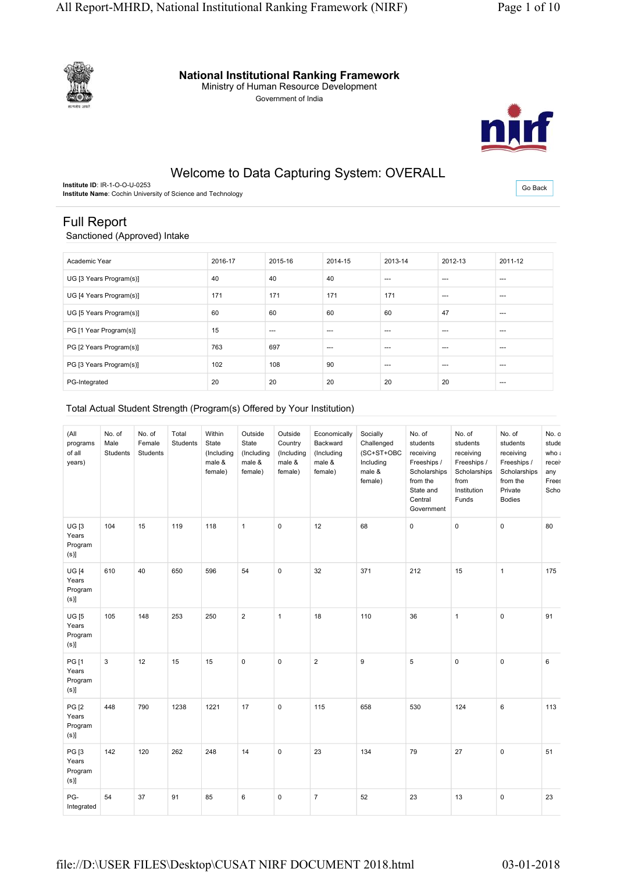

**National Institutional Ranking Framework**

Ministry of Human Resource Development

Government of India



# Welcome to Data Capturing System: OVERALL

**Institute ID**: IR-1-O-O-U-0253 **Institute Name**: Cochin University of Science and Technology

Go Back

# Full Report Sanctioned (Approved) Intake

| Academic Year           | 2016-17 | 2015-16 | 2014-15 | 2013-14 | 2012-13 | 2011-12 |
|-------------------------|---------|---------|---------|---------|---------|---------|
| UG [3 Years Program(s)] | 40      | 40      | 40      | $- - -$ | $---$   | $--$    |
| UG [4 Years Program(s)] | 171     | 171     | 171     | 171     | $---$   | $---$   |
| UG [5 Years Program(s)] | 60      | 60      | 60      | 60      | 47      | $--$    |
| PG [1 Year Program(s)]  | 15      | $- - -$ | $- - -$ | $- - -$ | $---$   | $--$    |
| PG [2 Years Program(s)] | 763     | 697     | $--$    | $- - -$ | $---$   | $--$    |
| PG [3 Years Program(s)] | 102     | 108     | 90      | $- - -$ | $---$   | $--$    |
| PG-Integrated           | 20      | 20      | 20      | 20      | 20      | ---     |

## Total Actual Student Strength (Program(s) Offered by Your Institution)

| (All<br>programs<br>of all<br>years)            | No. of<br>Male<br>Students | No. of<br>Female<br>Students | Total<br>Students | Within<br>State<br>(Including<br>male &<br>female) | Outside<br>State<br>(Including<br>male &<br>female) | Outside<br>Country<br>(Including<br>male &<br>female) | Economically<br>Backward<br>(Including<br>male &<br>female) | Socially<br>Challenged<br>(SC+ST+OBC<br>Including<br>male &<br>female) | No. of<br>students<br>receiving<br>Freeships /<br>Scholarships<br>from the<br>State and<br>Central<br>Government | No. of<br>students<br>receiving<br>Freeships /<br>Scholarships<br>from<br>Institution<br>Funds | No. of<br>students<br>receiving<br>Freeships /<br>Scholarships<br>from the<br>Private<br><b>Bodies</b> | No. o<br>stude<br>who :<br>recei <sup>®</sup><br>any<br>Frees<br>Scho |
|-------------------------------------------------|----------------------------|------------------------------|-------------------|----------------------------------------------------|-----------------------------------------------------|-------------------------------------------------------|-------------------------------------------------------------|------------------------------------------------------------------------|------------------------------------------------------------------------------------------------------------------|------------------------------------------------------------------------------------------------|--------------------------------------------------------------------------------------------------------|-----------------------------------------------------------------------|
| UGI3<br>Years<br>Program<br>$(s)$ ]             | 104                        | 15                           | 119               | 118                                                | $\mathbf{1}$                                        | $\pmb{0}$                                             | 12                                                          | 68                                                                     | $\mathsf 0$                                                                                                      | $\pmb{0}$                                                                                      | $\pmb{0}$                                                                                              | 80                                                                    |
| <b>UG</b> [4<br>Years<br>Program<br>$(s)$ ]     | 610                        | 40                           | 650               | 596                                                | 54                                                  | $\mathbf 0$                                           | 32                                                          | 371                                                                    | 212                                                                                                              | 15                                                                                             | $\overline{1}$                                                                                         | 175                                                                   |
| <b>UG [5</b><br>Years<br>Program<br>$(s)$ ]     | 105                        | 148                          | 253               | 250                                                | $\overline{\mathbf{c}}$                             | $\mathbf{1}$                                          | 18                                                          | 110                                                                    | 36                                                                                                               | $\mathbf{1}$                                                                                   | $\mathbf 0$                                                                                            | 91                                                                    |
| <b>PG</b> [1<br>Years<br>Program<br>$(s)$ ]     | $\mathfrak{S}$             | 12                           | 15                | 15                                                 | 0                                                   | $\pmb{0}$                                             | $\overline{2}$                                              | 9                                                                      | 5                                                                                                                | $\pmb{0}$                                                                                      | $\pmb{0}$                                                                                              | $\,6\,$                                                               |
| PG <sub>[2</sub><br>Years<br>Program<br>$(s)$ ] | 448                        | 790                          | 1238              | 1221                                               | 17                                                  | 0                                                     | 115                                                         | 658                                                                    | 530                                                                                                              | 124                                                                                            | 6                                                                                                      | 113                                                                   |
| PG [3<br>Years<br>Program<br>(s)                | 142                        | 120                          | 262               | 248                                                | 14                                                  | $\pmb{0}$                                             | 23                                                          | 134                                                                    | 79                                                                                                               | 27                                                                                             | $\mathsf 0$                                                                                            | 51                                                                    |
| PG-<br>Integrated                               | 54                         | 37                           | 91                | 85                                                 | 6                                                   | $\pmb{0}$                                             | $\overline{7}$                                              | 52                                                                     | 23                                                                                                               | 13                                                                                             | $\mathsf 0$                                                                                            | 23                                                                    |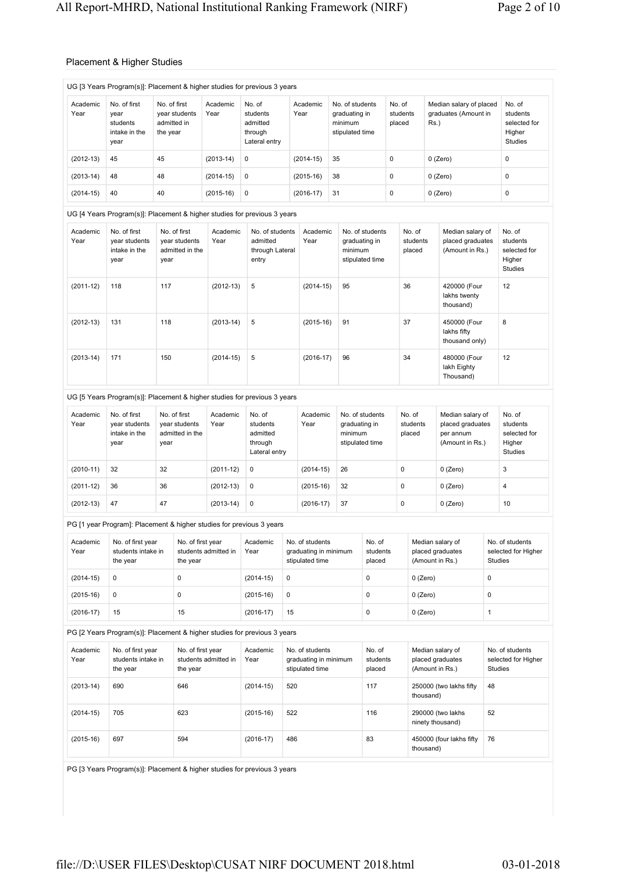## Placement & Higher Studies

|                  | UG [3 Years Program(s)]: Placement & higher studies for previous 3 years |                                                          |                      |                                                            |     |                                                             |                                                                |                                                     |                  |                              |            |                                                                      |                |                                                                |
|------------------|--------------------------------------------------------------------------|----------------------------------------------------------|----------------------|------------------------------------------------------------|-----|-------------------------------------------------------------|----------------------------------------------------------------|-----------------------------------------------------|------------------|------------------------------|------------|----------------------------------------------------------------------|----------------|----------------------------------------------------------------|
| Academic<br>Year | No. of first<br>year<br>students<br>intake in the<br>year                | No. of first<br>year students<br>admitted in<br>the year | Academic<br>Year     | No. of<br>students<br>admitted<br>through<br>Lateral entry |     | Academic<br>Year                                            | No. of students<br>graduating in<br>minimum<br>stipulated time |                                                     | No. of<br>placed | students                     | Rs.)       | Median salary of placed<br>graduates (Amount in                      |                | No. of<br>students<br>selected for<br>Higher<br><b>Studies</b> |
| $(2012-13)$      | 45                                                                       | 45                                                       | $(2013-14)$          | 0                                                          |     | $(2014-15)$                                                 | 35                                                             |                                                     | 0                |                              |            | $0$ (Zero)                                                           |                | 0                                                              |
| $(2013-14)$      | 48                                                                       | 48                                                       | $(2014-15)$          | 0                                                          |     | $(2015-16)$                                                 | 38                                                             |                                                     | 0                |                              |            | $0$ (Zero)                                                           |                | 0                                                              |
| $(2014-15)$      | 40                                                                       | 40                                                       | $(2015-16)$          | 0                                                          |     | $(2016-17)$                                                 | 31                                                             |                                                     | 0                |                              |            | 0 (Zero)                                                             |                | 0                                                              |
|                  | UG [4 Years Program(s)]: Placement & higher studies for previous 3 years |                                                          |                      |                                                            |     |                                                             |                                                                |                                                     |                  |                              |            |                                                                      |                |                                                                |
| Academic<br>Year | No. of first<br>year students<br>intake in the<br>year                   | No. of first<br>year students<br>admitted in the<br>year | Academic<br>Year     | No. of students<br>admitted<br>through Lateral<br>entry    |     | Academic<br>Year                                            | minimum                                                        | No. of students<br>graduating in<br>stipulated time |                  | No. of<br>students<br>placed |            | Median salary of<br>placed graduates<br>(Amount in Rs.)              |                | No. of<br>students<br>selected for<br>Higher<br><b>Studies</b> |
| $(2011-12)$      | 118                                                                      | 117                                                      | $(2012-13)$          | 5                                                          |     | $(2014-15)$                                                 | 95                                                             |                                                     |                  | 36                           |            | 420000 (Four<br>lakhs twenty<br>thousand)                            |                | 12                                                             |
| $(2012-13)$      | 131                                                                      | 118                                                      | $(2013-14)$          | 5                                                          |     | $(2015-16)$                                                 | 91                                                             |                                                     |                  | 37                           |            | 450000 (Four<br>lakhs fifty<br>thousand only)                        |                | 8                                                              |
| $(2013-14)$      | 171                                                                      | 150                                                      | $(2014-15)$          | 5                                                          |     | $(2016-17)$                                                 | 96                                                             |                                                     |                  | 34                           |            | 480000 (Four<br>lakh Eighty<br>Thousand)                             |                | 12                                                             |
|                  | UG [5 Years Program(s)]: Placement & higher studies for previous 3 years |                                                          |                      |                                                            |     |                                                             |                                                                |                                                     |                  |                              |            |                                                                      |                |                                                                |
| Academic<br>Year | No. of first<br>year students<br>intake in the<br>year                   | No. of first<br>year students<br>admitted in the<br>year | Academic<br>Year     | No. of<br>students<br>admitted<br>through<br>Lateral entry |     | Academic<br>Year                                            | minimum                                                        | No. of students<br>graduating in<br>stipulated time |                  | No. of<br>students<br>placed |            | Median salary of<br>placed graduates<br>per annum<br>(Amount in Rs.) |                | No. of<br>students<br>selected for<br>Higher<br><b>Studies</b> |
| $(2010-11)$      | 32                                                                       | 32                                                       | $(2011-12)$          | 0                                                          |     | $(2014-15)$                                                 | 26                                                             |                                                     |                  | 0                            |            | $0$ (Zero)                                                           |                | 3                                                              |
| $(2011-12)$      | 36                                                                       | 36                                                       | $(2012-13)$          | 0                                                          |     | $(2015-16)$                                                 | 32                                                             |                                                     |                  | 0                            |            | $0$ (Zero)                                                           |                | 4                                                              |
| $(2012-13)$      | 47                                                                       | 47                                                       | $(2013-14)$          | 0                                                          |     | $(2016-17)$                                                 | 37                                                             |                                                     |                  | 0                            | $0$ (Zero) |                                                                      |                | 10                                                             |
|                  | PG [1 year Program]: Placement & higher studies for previous 3 years     |                                                          |                      |                                                            |     |                                                             |                                                                |                                                     |                  |                              |            |                                                                      |                |                                                                |
| Academic<br>Year | No. of first year<br>students intake in<br>the year                      | No. of first year<br>the year                            | students admitted in | Academic<br>Year                                           |     | No. of students<br>graduating in minimum<br>stipulated time |                                                                | No. of<br>students<br>placed                        |                  |                              |            | Median salary of<br>placed graduates<br>(Amount in Rs.)              | <b>Studies</b> | No. of students<br>selected for Higher                         |
| $(2014-15)$      | 0                                                                        | 0                                                        |                      | $(2014-15)$                                                | 0   |                                                             |                                                                | 0                                                   |                  | $0$ (Zero)                   |            |                                                                      | $\pmb{0}$      |                                                                |
| $(2015-16)$      | 0                                                                        | 0                                                        |                      | $(2015-16)$                                                | 0   |                                                             |                                                                | 0                                                   |                  | $0$ (Zero)                   |            |                                                                      | $\pmb{0}$      |                                                                |
| $(2016-17)$      | 15                                                                       | 15                                                       |                      | $(2016-17)$                                                | 15  |                                                             |                                                                | 0                                                   |                  | $0$ (Zero)                   |            |                                                                      | $\mathbf{1}$   |                                                                |
|                  | PG [2 Years Program(s)]: Placement & higher studies for previous 3 years |                                                          |                      |                                                            |     |                                                             |                                                                |                                                     |                  |                              |            |                                                                      |                |                                                                |
| Academic<br>Year | No. of first year<br>students intake in<br>the year                      | No. of first year<br>the year                            | students admitted in | Academic<br>Year                                           |     | No. of students<br>graduating in minimum<br>stipulated time |                                                                | No. of<br>students<br>placed                        |                  |                              |            | Median salary of<br>placed graduates<br>(Amount in Rs.)              | <b>Studies</b> | No. of students<br>selected for Higher                         |
| $(2013-14)$      | 690                                                                      | 646                                                      |                      | $(2014-15)$                                                | 520 |                                                             |                                                                | 117                                                 |                  |                              | thousand)  | 250000 (two lakhs fifty                                              | 48             |                                                                |
| $(2014-15)$      | 705                                                                      | 623                                                      |                      | $(2015-16)$                                                | 522 |                                                             |                                                                | 116                                                 |                  |                              |            | 290000 (two lakhs<br>ninety thousand)                                | 52             |                                                                |
| $(2015-16)$      | 697                                                                      | 594                                                      |                      | $(2016-17)$                                                | 486 |                                                             |                                                                | 83                                                  |                  |                              | thousand)  | 450000 (four lakhs fifty                                             | 76             |                                                                |

PG [3 Years Program(s)]: Placement & higher studies for previous 3 years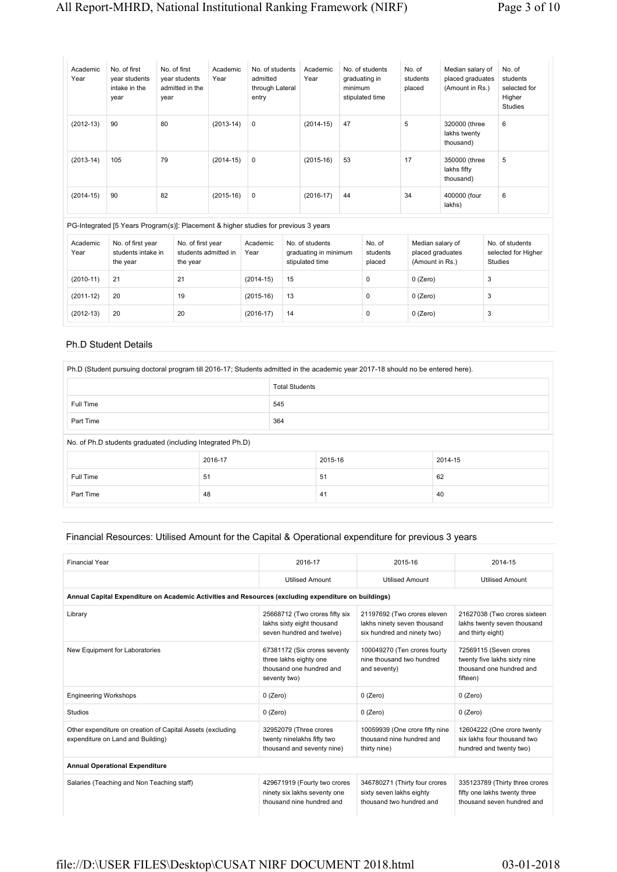| Academic<br>Year | No. of first<br>year students<br>intake in the<br>year | No. of first<br>year students<br>admitted in the<br>year | Academic<br>Year | No. of students<br>admitted<br>through Lateral<br>entry | Academic<br>Year | No. of students<br>graduating in<br>minimum<br>stipulated time | No. of<br>students<br>placed | Median salary of<br>placed graduates<br>(Amount in Rs.) | No. of<br>students<br>selected for<br>Higher<br><b>Studies</b> |
|------------------|--------------------------------------------------------|----------------------------------------------------------|------------------|---------------------------------------------------------|------------------|----------------------------------------------------------------|------------------------------|---------------------------------------------------------|----------------------------------------------------------------|
| $(2012-13)$      | 90                                                     | 80                                                       | $(2013-14)$      | 0                                                       | $(2014-15)$      | 47                                                             | 5                            | 320000 (three<br>lakhs twenty<br>thousand)              | 6                                                              |
| $(2013-14)$      | 105                                                    | 79                                                       | $(2014-15)$      | 0                                                       | $(2015-16)$      | 53                                                             | 17                           | 350000 (three<br>lakhs fifty<br>thousand)               | 5                                                              |
| $(2014-15)$      | 90                                                     | 82                                                       | $(2015-16)$      | 0                                                       | $(2016-17)$      | 44                                                             | 34                           | 400000 (four<br>lakhs)                                  | 6                                                              |

|                  | PG-Integrated [5 Years Program(s)]: Placement & higher studies for previous 3 years |                                                       |                  |                                                             |                              |                                                         |                                                          |  |
|------------------|-------------------------------------------------------------------------------------|-------------------------------------------------------|------------------|-------------------------------------------------------------|------------------------------|---------------------------------------------------------|----------------------------------------------------------|--|
| Academic<br>Year | No. of first year<br>students intake in<br>the year                                 | No. of first year<br>students admitted in<br>the year | Academic<br>Year | No. of students<br>graduating in minimum<br>stipulated time | No. of<br>students<br>placed | Median salary of<br>placed graduates<br>(Amount in Rs.) | No. of students<br>selected for Higher<br><b>Studies</b> |  |
| $(2010-11)$      | 21                                                                                  | 21                                                    | $(2014 - 15)$    | 15                                                          |                              | $0$ (Zero)                                              |                                                          |  |
| $(2011-12)$      | 20                                                                                  | 19                                                    | $(2015-16)$      | 13                                                          |                              | $0$ (Zero)                                              |                                                          |  |

(2012-13) 20 20 (2016-17) 14 0 0 (Zero) 3

#### Ph.D Student Details

| Ph.D (Student pursuing doctoral program till 2016-17; Students admitted in the academic year 2017-18 should no be entered here). |         |                       |         |         |  |  |
|----------------------------------------------------------------------------------------------------------------------------------|---------|-----------------------|---------|---------|--|--|
|                                                                                                                                  |         | <b>Total Students</b> |         |         |  |  |
| Full Time                                                                                                                        |         | 545                   |         |         |  |  |
| Part Time                                                                                                                        | 364     |                       |         |         |  |  |
| No. of Ph.D students graduated (including Integrated Ph.D)                                                                       |         |                       |         |         |  |  |
|                                                                                                                                  | 2016-17 |                       | 2015-16 | 2014-15 |  |  |
| Full Time                                                                                                                        | 51      |                       | 51      | 62      |  |  |
| Part Time                                                                                                                        | 48      |                       | 41      | 40      |  |  |

#### Financial Resources: Utilised Amount for the Capital & Operational expenditure for previous 3 years

| <b>Financial Year</b>                                                                                | 2016-17                                                                                            | 2015-16                                                                                   | 2014-15                                                                                        |
|------------------------------------------------------------------------------------------------------|----------------------------------------------------------------------------------------------------|-------------------------------------------------------------------------------------------|------------------------------------------------------------------------------------------------|
|                                                                                                      | <b>Utilised Amount</b>                                                                             | <b>Utilised Amount</b>                                                                    | <b>Utilised Amount</b>                                                                         |
| Annual Capital Expenditure on Academic Activities and Resources (excluding expenditure on buildings) |                                                                                                    |                                                                                           |                                                                                                |
| Library                                                                                              | 25668712 (Two crores fifty six<br>lakhs sixty eight thousand<br>seven hundred and twelve)          | 21197692 (Two crores eleven<br>lakhs ninety seven thousand<br>six hundred and ninety two) | 21627038 (Two crores sixteen<br>lakhs twenty seven thousand<br>and thirty eight)               |
| New Equipment for Laboratories                                                                       | 67381172 (Six crores seventy<br>three lakhs eighty one<br>thousand one hundred and<br>seventy two) | 100049270 (Ten crores fourty<br>nine thousand two hundred<br>and seventy)                 | 72569115 (Seven crores<br>twenty five lakhs sixty nine<br>thousand one hundred and<br>fifteen) |
| <b>Engineering Workshops</b>                                                                         | $0$ (Zero)                                                                                         | 0 (Zero)                                                                                  | $0$ (Zero)                                                                                     |
| Studios                                                                                              | $0$ (Zero)                                                                                         | $0$ (Zero)                                                                                | $0$ (Zero)                                                                                     |
| Other expenditure on creation of Capital Assets (excluding<br>expenditure on Land and Building)      | 32952079 (Three crores<br>twenty ninelakhs fifty two<br>thousand and seventy nine)                 | 10059939 (One crore fifty nine<br>thousand nine hundred and<br>thirty nine)               | 12604222 (One crore twenty<br>six lakhs four thousand two<br>hundred and twenty two)           |
| <b>Annual Operational Expenditure</b>                                                                |                                                                                                    |                                                                                           |                                                                                                |
| Salaries (Teaching and Non Teaching staff)                                                           | 429671919 (Fourty two crores<br>ninety six lakhs seventy one<br>thousand nine hundred and          | 346780271 (Thirty four crores<br>sixty seven lakhs eighty<br>thousand two hundred and     | 335123789 (Thirty three crores<br>fifty one lakhs twenty three<br>thousand seven hundred and   |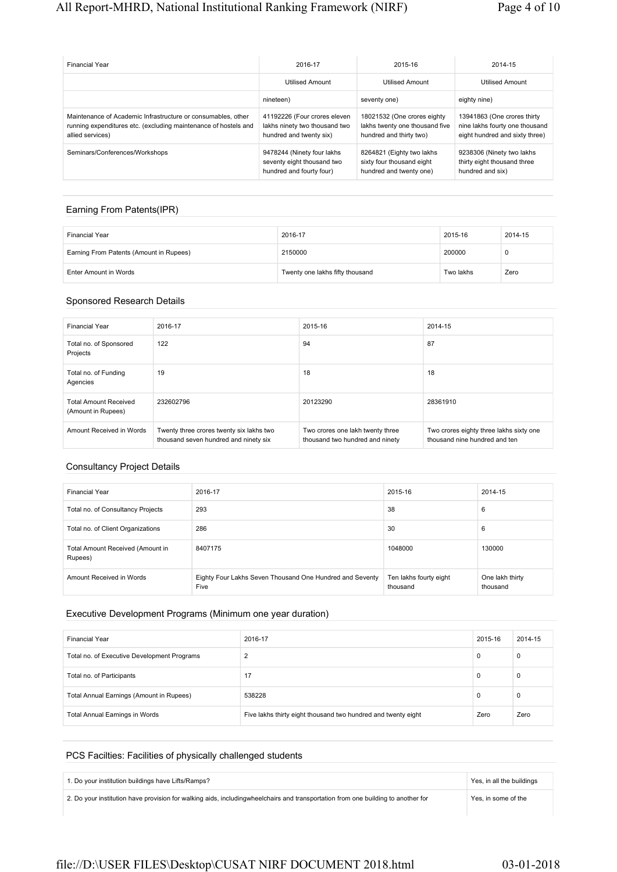| <b>Financial Year</b>                                                                                                                               | 2016-17                                                                                  | 2015-16                                                                                  | 2014-15                                                                                         |
|-----------------------------------------------------------------------------------------------------------------------------------------------------|------------------------------------------------------------------------------------------|------------------------------------------------------------------------------------------|-------------------------------------------------------------------------------------------------|
|                                                                                                                                                     | <b>Utilised Amount</b>                                                                   | <b>Utilised Amount</b>                                                                   | <b>Utilised Amount</b>                                                                          |
|                                                                                                                                                     | nineteen)                                                                                | seventy one)                                                                             | eighty nine)                                                                                    |
| Maintenance of Academic Infrastructure or consumables, other<br>running expenditures etc. (excluding maintenance of hostels and<br>allied services) | 41192226 (Four crores eleven<br>lakhs ninety two thousand two<br>hundred and twenty six) | 18021532 (One crores eighty<br>lakhs twenty one thousand five<br>hundred and thirty two) | 13941863 (One crores thirty<br>nine lakhs fourty one thousand<br>eight hundred and sixty three) |
| Seminars/Conferences/Workshops                                                                                                                      | 9478244 (Ninety four lakhs<br>seventy eight thousand two<br>hundred and fourty four)     | 8264821 (Eighty two lakhs<br>sixty four thousand eight<br>hundred and twenty one)        | 9238306 (Ninety two lakhs<br>thirty eight thousand three<br>hundred and six)                    |

### Earning From Patents(IPR)

| <b>Financial Year</b>                   | 2016-17                         | 2015-16   | 2014-15 |
|-----------------------------------------|---------------------------------|-----------|---------|
| Earning From Patents (Amount in Rupees) | 2150000                         | 200000    | υ       |
| Enter Amount in Words                   | Twenty one lakhs fifty thousand | Two lakhs | Zero    |

#### Sponsored Research Details

| <b>Financial Year</b>                              | 2016-17                                                                           | 2015-16                                                             | 2014-15                                                                  |
|----------------------------------------------------|-----------------------------------------------------------------------------------|---------------------------------------------------------------------|--------------------------------------------------------------------------|
| Total no. of Sponsored<br>Projects                 | 122                                                                               | 94                                                                  | 87                                                                       |
| Total no. of Funding<br>Agencies                   | 19                                                                                | 18                                                                  | 18                                                                       |
| <b>Total Amount Received</b><br>(Amount in Rupees) | 232602796                                                                         | 20123290                                                            | 28361910                                                                 |
| Amount Received in Words                           | Twenty three crores twenty six lakhs two<br>thousand seven hundred and ninety six | Two crores one lakh twenty three<br>thousand two hundred and ninety | Two crores eighty three lakhs sixty one<br>thousand nine hundred and ten |

#### Consultancy Project Details

| <b>Financial Year</b>                       | 2016-17                                                          | 2015-16                            | 2014-15                     |
|---------------------------------------------|------------------------------------------------------------------|------------------------------------|-----------------------------|
| Total no. of Consultancy Projects           | 293                                                              | 38                                 | 6                           |
| Total no. of Client Organizations           | 286                                                              | 30                                 | 6                           |
| Total Amount Received (Amount in<br>Rupees) | 8407175                                                          | 1048000                            | 130000                      |
| Amount Received in Words                    | Eighty Four Lakhs Seven Thousand One Hundred and Seventy<br>Five | Ten lakhs fourty eight<br>thousand | One lakh thirty<br>thousand |

#### Executive Development Programs (Minimum one year duration)

| <b>Financial Year</b>                       | 2016-17                                                       | 2015-16 | 2014-15 |
|---------------------------------------------|---------------------------------------------------------------|---------|---------|
| Total no. of Executive Development Programs | ົ                                                             | 0       | 0       |
| Total no. of Participants                   | 17                                                            | 0       | 0       |
| Total Annual Earnings (Amount in Rupees)    | 538228                                                        | 0       | 0       |
| Total Annual Earnings in Words              | Five lakhs thirty eight thousand two hundred and twenty eight | Zero    | Zero    |

## PCS Facilties: Facilities of physically challenged students

| 1. Do your institution buildings have Lifts/Ramps?                                                                               | Yes, in all the buildings |  |
|----------------------------------------------------------------------------------------------------------------------------------|---------------------------|--|
| 2. Do your institution have provision for walking aids, includingwheelchairs and transportation from one building to another for | Yes, in some of the       |  |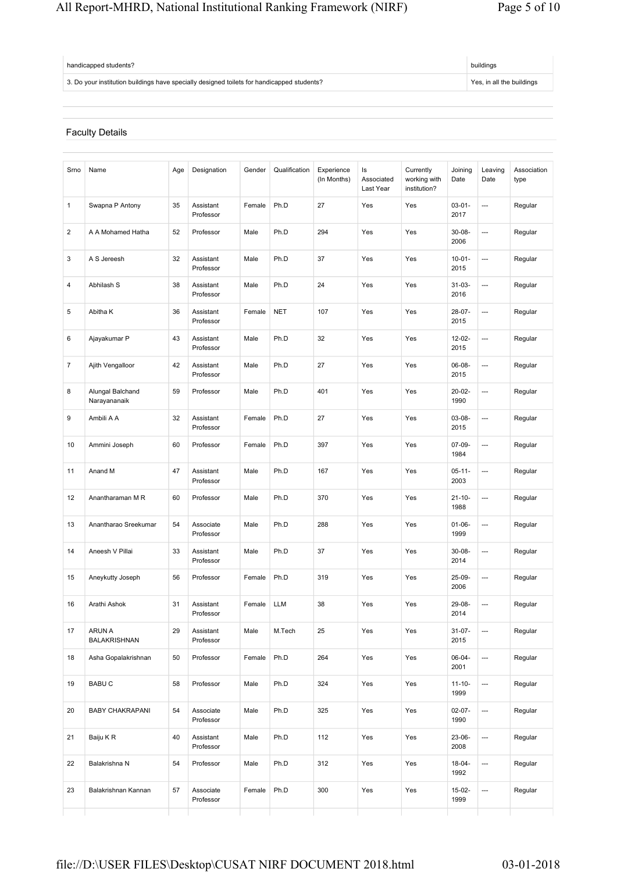# All Report-MHRD, National Institutional Ranking Framework (NIRF) Page 5 of 10

| handicapped students?                                                                      | buildings                 |  |
|--------------------------------------------------------------------------------------------|---------------------------|--|
| 3. Do your institution buildings have specially designed toilets for handicapped students? | Yes, in all the buildings |  |

# Faculty Details

| Smo | Name                             | Age | Designation            | Gender | Qualification | Experience<br>(In Months) | ls<br>Associated<br>Last Year | Currently<br>working with<br>institution? | Joining<br>Date     | Leaving<br>Date          | Association<br>type |
|-----|----------------------------------|-----|------------------------|--------|---------------|---------------------------|-------------------------------|-------------------------------------------|---------------------|--------------------------|---------------------|
| 1   | Swapna P Antony                  | 35  | Assistant<br>Professor | Female | Ph.D          | 27                        | Yes                           | Yes                                       | $03 - 01 -$<br>2017 | ---                      | Regular             |
| 2   | A A Mohamed Hatha                | 52  | Professor              | Male   | Ph.D          | 294                       | Yes                           | Yes                                       | $30 - 08 -$<br>2006 | ---                      | Regular             |
| 3   | A S Jereesh                      | 32  | Assistant<br>Professor | Male   | Ph.D          | 37                        | Yes                           | Yes                                       | $10 - 01 -$<br>2015 | $\overline{a}$           | Regular             |
| 4   | Abhilash S                       | 38  | Assistant<br>Professor | Male   | Ph.D          | 24                        | Yes                           | Yes                                       | $31 - 03 -$<br>2016 | $\overline{a}$           | Regular             |
| 5   | Abitha K                         | 36  | Assistant<br>Professor | Female | <b>NET</b>    | 107                       | Yes                           | Yes                                       | 28-07-<br>2015      | ---                      | Regular             |
| 6   | Ajayakumar P                     | 43  | Assistant<br>Professor | Male   | Ph.D          | 32                        | Yes                           | Yes                                       | $12 - 02 -$<br>2015 | ---                      | Regular             |
| 7   | Ajith Vengalloor                 | 42  | Assistant<br>Professor | Male   | Ph.D          | 27                        | Yes                           | Yes                                       | 06-08-<br>2015      | ---                      | Regular             |
| 8   | Alungal Balchand<br>Narayananaik | 59  | Professor              | Male   | Ph.D          | 401                       | Yes                           | Yes                                       | $20 - 02 -$<br>1990 | ---                      | Regular             |
| 9   | Ambili A A                       | 32  | Assistant<br>Professor | Female | Ph.D          | 27                        | Yes                           | Yes                                       | $03 - 08 -$<br>2015 | ---                      | Regular             |
| 10  | Ammini Joseph                    | 60  | Professor              | Female | Ph.D          | 397                       | Yes                           | Yes                                       | $07-09-$<br>1984    | ---                      | Regular             |
| 11  | Anand M                          | 47  | Assistant<br>Professor | Male   | Ph.D          | 167                       | Yes                           | Yes                                       | $05 - 11 -$<br>2003 | ---                      | Regular             |
| 12  | Anantharaman M R                 | 60  | Professor              | Male   | Ph.D          | 370                       | Yes                           | Yes                                       | $21 - 10 -$<br>1988 | $\overline{a}$           | Regular             |
| 13  | Anantharao Sreekumar             | 54  | Associate<br>Professor | Male   | Ph.D          | 288                       | Yes                           | Yes                                       | $01 - 06 -$<br>1999 | $\overline{a}$           | Regular             |
| 14  | Aneesh V Pillai                  | 33  | Assistant<br>Professor | Male   | Ph.D          | 37                        | Yes                           | Yes                                       | $30 - 08 -$<br>2014 | ---                      | Regular             |
| 15  | Aneykutty Joseph                 | 56  | Professor              | Female | Ph.D          | 319                       | Yes                           | Yes                                       | 25-09-<br>2006      | ---                      | Regular             |
| 16  | Arathi Ashok                     | 31  | Assistant<br>Professor | Female | <b>LLM</b>    | 38                        | Yes                           | Yes                                       | 29-08-<br>2014      | ---                      | Regular             |
| 17  | ARUN A<br>BALAKRISHNAN           | 29  | Assistant<br>Professor | Male   | M.Tech        | 25                        | Yes                           | Yes                                       | $31 - 07 -$<br>2015 | ---                      | Regular             |
| 18  | Asha Gopalakrishnan              | 50  | Professor              | Female | Ph.D          | 264                       | Yes                           | Yes                                       | $06 - 04 -$<br>2001 | ---                      | Regular             |
| 19  | <b>BABUC</b>                     | 58  | Professor              | Male   | Ph.D          | 324                       | Yes                           | Yes                                       | $11 - 10 -$<br>1999 | ---                      | Regular             |
| 20  | <b>BABY CHAKRAPANI</b>           | 54  | Associate<br>Professor | Male   | Ph.D          | 325                       | Yes                           | Yes                                       | $02 - 07 -$<br>1990 | ---                      | Regular             |
| 21  | Baiju K R                        | 40  | Assistant<br>Professor | Male   | Ph.D          | 112                       | Yes                           | Yes                                       | 23-06-<br>2008      | ---                      | Regular             |
| 22  | Balakrishna N                    | 54  | Professor              | Male   | Ph.D          | 312                       | Yes                           | Yes                                       | $18 - 04 -$<br>1992 | $\hspace{0.05cm} \ldots$ | Regular             |
| 23  | Balakrishnan Kannan              | 57  | Associate<br>Professor | Female | Ph.D          | 300                       | Yes                           | Yes                                       | $15 - 02 -$<br>1999 | ---                      | Regular             |
|     |                                  |     |                        |        |               |                           |                               |                                           |                     |                          |                     |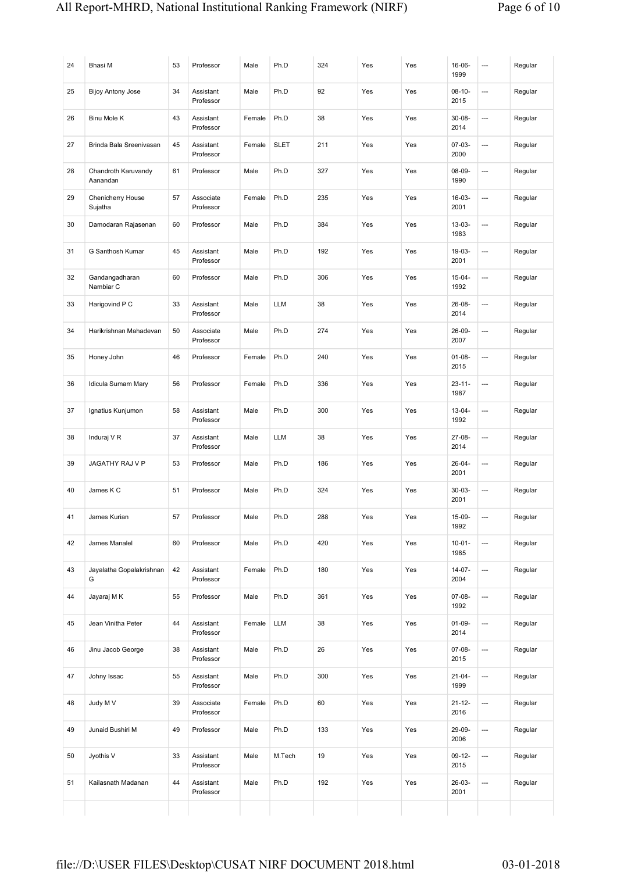| 24 | Bhasi M                         | 53 | Professor              | Male   | Ph.D        | 324 | Yes | Yes | $16 - 06 -$<br>1999 | $\overline{a}$           | Regular |
|----|---------------------------------|----|------------------------|--------|-------------|-----|-----|-----|---------------------|--------------------------|---------|
| 25 | <b>Bijoy Antony Jose</b>        | 34 | Assistant<br>Professor | Male   | Ph.D        | 92  | Yes | Yes | $08-10-$<br>2015    | ---                      | Regular |
| 26 | Binu Mole K                     | 43 | Assistant<br>Professor | Female | Ph.D        | 38  | Yes | Yes | $30 - 08 -$<br>2014 | $\overline{\phantom{a}}$ | Regular |
| 27 | Brinda Bala Sreenivasan         | 45 | Assistant<br>Professor | Female | <b>SLET</b> | 211 | Yes | Yes | 07-03-<br>2000      | ---                      | Regular |
| 28 | Chandroth Karuvandy<br>Aanandan | 61 | Professor              | Male   | Ph.D        | 327 | Yes | Yes | $08 - 09 -$<br>1990 | ---                      | Regular |
| 29 | Chenicherry House<br>Sujatha    | 57 | Associate<br>Professor | Female | Ph.D        | 235 | Yes | Yes | $16-03-$<br>2001    | ---                      | Regular |
| 30 | Damodaran Rajasenan             | 60 | Professor              | Male   | Ph.D        | 384 | Yes | Yes | $13 - 03 -$<br>1983 | ---                      | Regular |
| 31 | G Santhosh Kumar                | 45 | Assistant<br>Professor | Male   | Ph.D        | 192 | Yes | Yes | $19-03-$<br>2001    | ---                      | Regular |
| 32 | Gandangadharan<br>Nambiar C     | 60 | Professor              | Male   | Ph.D        | 306 | Yes | Yes | $15 - 04 -$<br>1992 | ---                      | Regular |
| 33 | Harigovind P C                  | 33 | Assistant<br>Professor | Male   | <b>LLM</b>  | 38  | Yes | Yes | $26 - 08 -$<br>2014 | ---                      | Regular |
| 34 | Harikrishnan Mahadevan          | 50 | Associate<br>Professor | Male   | Ph.D        | 274 | Yes | Yes | 26-09-<br>2007      | $\overline{\phantom{a}}$ | Regular |
| 35 | Honey John                      | 46 | Professor              | Female | Ph.D        | 240 | Yes | Yes | $01 - 08 -$<br>2015 | $\overline{\phantom{a}}$ | Regular |
| 36 | Idicula Sumam Mary              | 56 | Professor              | Female | Ph.D        | 336 | Yes | Yes | $23 - 11 -$<br>1987 | ---                      | Regular |
| 37 | Ignatius Kunjumon               | 58 | Assistant<br>Professor | Male   | Ph.D        | 300 | Yes | Yes | $13 - 04 -$<br>1992 | ---                      | Regular |
| 38 | Induraj V R                     | 37 | Assistant<br>Professor | Male   | <b>LLM</b>  | 38  | Yes | Yes | 27-08-<br>2014      | ---                      | Regular |
| 39 | <b>JAGATHY RAJ V P</b>          | 53 | Professor              | Male   | Ph.D        | 186 | Yes | Yes | $26 - 04 -$<br>2001 | ---                      | Regular |
| 40 | James K C                       | 51 | Professor              | Male   | Ph.D        | 324 | Yes | Yes | $30 - 03 -$<br>2001 | ---                      | Regular |
| 41 | James Kurian                    | 57 | Professor              | Male   | Ph.D        | 288 | Yes | Yes | 15-09-<br>1992      | $\cdots$                 | Regular |
| 42 | James Manalel                   | 60 | Professor              | Male   | Ph.D        | 420 | Yes | Yes | $10 - 01 -$<br>1985 | ---                      | Regular |
| 43 | Jayalatha Gopalakrishnan<br>G   | 42 | Assistant<br>Professor | Female | Ph.D        | 180 | Yes | Yes | $14 - 07 -$<br>2004 | ---                      | Regular |
| 44 | Jayaraj M K                     | 55 | Professor              | Male   | Ph.D        | 361 | Yes | Yes | 07-08-<br>1992      | $\hspace{1.5cm} \cdots$  | Regular |
| 45 | Jean Vinitha Peter              | 44 | Assistant<br>Professor | Female | LLM         | 38  | Yes | Yes | $01 - 09 -$<br>2014 | ---                      | Regular |
| 46 | Jinu Jacob George               | 38 | Assistant<br>Professor | Male   | Ph.D        | 26  | Yes | Yes | 07-08-<br>2015      | $\hspace{0.05cm} \cdots$ | Regular |
| 47 | Johny Issac                     | 55 | Assistant<br>Professor | Male   | Ph.D        | 300 | Yes | Yes | $21 - 04 -$<br>1999 | ---                      | Regular |
| 48 | Judy M V                        | 39 | Associate<br>Professor | Female | Ph.D        | 60  | Yes | Yes | $21 - 12 -$<br>2016 | $\hspace{0.05cm} \cdots$ | Regular |
| 49 | Junaid Bushiri M                | 49 | Professor              | Male   | Ph.D        | 133 | Yes | Yes | 29-09-<br>2006      | ---                      | Regular |
| 50 | Jyothis V                       | 33 | Assistant<br>Professor | Male   | M.Tech      | 19  | Yes | Yes | $09-12-$<br>2015    | ---                      | Regular |
| 51 | Kailasnath Madanan              | 44 | Assistant<br>Professor | Male   | Ph.D        | 192 | Yes | Yes | 26-03-<br>2001      | $\hspace{0.05cm} \ldots$ | Regular |
|    |                                 |    |                        |        |             |     |     |     |                     |                          |         |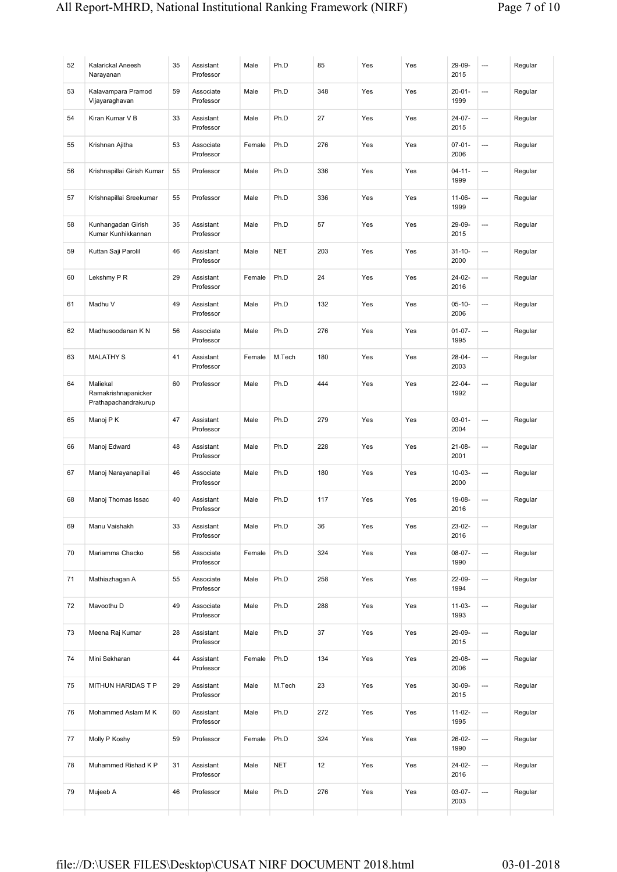| 52 | Kalarickal Aneesh<br>Narayanan                          | 35 | Assistant<br>Professor | Male   | Ph.D       | 85  | Yes | Yes | 29-09-<br>2015      | ---            | Regular |
|----|---------------------------------------------------------|----|------------------------|--------|------------|-----|-----|-----|---------------------|----------------|---------|
| 53 | Kalavampara Pramod<br>Vijayaraghavan                    | 59 | Associate<br>Professor | Male   | Ph.D       | 348 | Yes | Yes | $20 - 01 -$<br>1999 | $\overline{a}$ | Regular |
| 54 | Kiran Kumar V B                                         | 33 | Assistant<br>Professor | Male   | Ph.D       | 27  | Yes | Yes | $24 - 07 -$<br>2015 | ---            | Regular |
| 55 | Krishnan Ajitha                                         | 53 | Associate<br>Professor | Female | Ph.D       | 276 | Yes | Yes | $07 - 01 -$<br>2006 | ---            | Regular |
| 56 | Krishnapillai Girish Kumar                              | 55 | Professor              | Male   | Ph.D       | 336 | Yes | Yes | $04 - 11 -$<br>1999 | ---            | Regular |
| 57 | Krishnapillai Sreekumar                                 | 55 | Professor              | Male   | Ph.D       | 336 | Yes | Yes | $11 - 06 -$<br>1999 | ---            | Regular |
| 58 | Kunhangadan Girish<br>Kumar Kunhikkannan                | 35 | Assistant<br>Professor | Male   | Ph.D       | 57  | Yes | Yes | 29-09-<br>2015      | ---            | Regular |
| 59 | Kuttan Saji Parolil                                     | 46 | Assistant<br>Professor | Male   | <b>NET</b> | 203 | Yes | Yes | $31 - 10 -$<br>2000 | ---            | Regular |
| 60 | Lekshmy P R                                             | 29 | Assistant<br>Professor | Female | Ph.D       | 24  | Yes | Yes | $24 - 02 -$<br>2016 | $\overline{a}$ | Regular |
| 61 | Madhu V                                                 | 49 | Assistant<br>Professor | Male   | Ph.D       | 132 | Yes | Yes | $05-10-$<br>2006    | ---            | Regular |
| 62 | Madhusoodanan K N                                       | 56 | Associate<br>Professor | Male   | Ph.D       | 276 | Yes | Yes | $01 - 07 -$<br>1995 | $\overline{a}$ | Regular |
| 63 | <b>MALATHY S</b>                                        | 41 | Assistant<br>Professor | Female | M.Tech     | 180 | Yes | Yes | $28 - 04 -$<br>2003 | ---            | Regular |
| 64 | Maliekal<br>Ramakrishnapanicker<br>Prathapachandrakurup | 60 | Professor              | Male   | Ph.D       | 444 | Yes | Yes | $22 - 04 -$<br>1992 | ---            | Regular |
| 65 | Manoj P K                                               | 47 | Assistant<br>Professor | Male   | Ph.D       | 279 | Yes | Yes | $03 - 01 -$<br>2004 | ---            | Regular |
| 66 | Manoj Edward                                            | 48 | Assistant<br>Professor | Male   | Ph.D       | 228 | Yes | Yes | $21 - 08 -$<br>2001 | ---            | Regular |
| 67 | Manoj Narayanapillai                                    | 46 | Associate<br>Professor | Male   | Ph.D       | 180 | Yes | Yes | $10 - 03 -$<br>2000 | ---            | Regular |
| 68 | Manoj Thomas Issac                                      | 40 | Assistant<br>Professor | Male   | Ph.D       | 117 | Yes | Yes | 19-08-<br>2016      | ---            | Regular |
| 69 | Manu Vaishakh                                           | 33 | Assistant<br>Professor | Male   | Ph.D       | 36  | Yes | Yes | 23-02-<br>2016      | ---            | Regular |
| 70 | Mariamma Chacko                                         | 56 | Associate<br>Professor | Female | Ph.D       | 324 | Yes | Yes | 08-07-<br>1990      | ---            | Regular |
| 71 | Mathiazhagan A                                          | 55 | Associate<br>Professor | Male   | Ph.D       | 258 | Yes | Yes | 22-09-<br>1994      | ---            | Regular |
| 72 | Mavoothu D                                              | 49 | Associate<br>Professor | Male   | Ph.D       | 288 | Yes | Yes | $11 - 03 -$<br>1993 | ---            | Regular |
| 73 | Meena Raj Kumar                                         | 28 | Assistant<br>Professor | Male   | Ph.D       | 37  | Yes | Yes | 29-09-<br>2015      | ---            | Regular |
| 74 | Mini Sekharan                                           | 44 | Assistant<br>Professor | Female | Ph.D       | 134 | Yes | Yes | 29-08-<br>2006      | ---            | Regular |
| 75 | MITHUN HARIDAS T P                                      | 29 | Assistant<br>Professor | Male   | M.Tech     | 23  | Yes | Yes | $30 - 09 -$<br>2015 | ---            | Regular |
| 76 | Mohammed Aslam M K                                      | 60 | Assistant<br>Professor | Male   | Ph.D       | 272 | Yes | Yes | $11 - 02 -$<br>1995 | ---            | Regular |
| 77 | Molly P Koshy                                           | 59 | Professor              | Female | Ph.D       | 324 | Yes | Yes | 26-02-<br>1990      | ---            | Regular |
| 78 | Muhammed Rishad K P                                     | 31 | Assistant<br>Professor | Male   | <b>NET</b> | 12  | Yes | Yes | 24-02-<br>2016      | ---            | Regular |
| 79 | Mujeeb A                                                | 46 | Professor              | Male   | Ph.D       | 276 | Yes | Yes | $03-07-$<br>2003    | ---            | Regular |
|    |                                                         |    |                        |        |            |     |     |     |                     |                |         |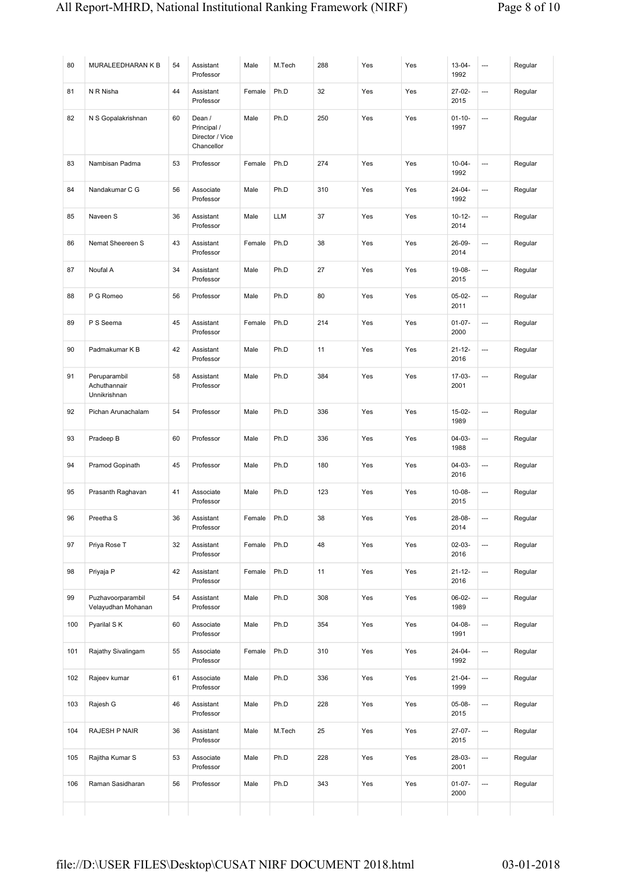| 80  | MURALEEDHARAN K B                            | 54 | Assistant<br>Professor                                 | Male   | M.Tech     | 288 | Yes | Yes | $13 - 04 -$<br>1992 | ---                      | Regular |
|-----|----------------------------------------------|----|--------------------------------------------------------|--------|------------|-----|-----|-----|---------------------|--------------------------|---------|
| 81  | N R Nisha                                    | 44 | Assistant<br>Professor                                 | Female | Ph.D       | 32  | Yes | Yes | $27 - 02 -$<br>2015 | ---                      | Regular |
| 82  | N S Gopalakrishnan                           | 60 | Dean /<br>Principal /<br>Director / Vice<br>Chancellor | Male   | Ph.D       | 250 | Yes | Yes | $01 - 10 -$<br>1997 | ---                      | Regular |
| 83  | Nambisan Padma                               | 53 | Professor                                              | Female | Ph.D       | 274 | Yes | Yes | $10 - 04 -$<br>1992 | ---                      | Regular |
| 84  | Nandakumar C G                               | 56 | Associate<br>Professor                                 | Male   | Ph.D       | 310 | Yes | Yes | 24-04-<br>1992      | ---                      | Regular |
| 85  | Naveen S                                     | 36 | Assistant<br>Professor                                 | Male   | <b>LLM</b> | 37  | Yes | Yes | $10 - 12 -$<br>2014 | <u></u>                  | Regular |
| 86  | Nemat Sheereen S                             | 43 | Assistant<br>Professor                                 | Female | Ph.D       | 38  | Yes | Yes | 26-09-<br>2014      | $\cdots$                 | Regular |
| 87  | Noufal A                                     | 34 | Assistant<br>Professor                                 | Male   | Ph.D       | 27  | Yes | Yes | 19-08-<br>2015      | $\overline{\phantom{a}}$ | Regular |
| 88  | P G Romeo                                    | 56 | Professor                                              | Male   | Ph.D       | 80  | Yes | Yes | $05-02-$<br>2011    | $\hspace{0.05cm} \ldots$ | Regular |
| 89  | P S Seema                                    | 45 | Assistant<br>Professor                                 | Female | Ph.D       | 214 | Yes | Yes | $01 - 07 -$<br>2000 | ---                      | Regular |
| 90  | Padmakumar K B                               | 42 | Assistant<br>Professor                                 | Male   | Ph.D       | 11  | Yes | Yes | $21 - 12 -$<br>2016 | $\overline{\phantom{a}}$ | Regular |
| 91  | Peruparambil<br>Achuthannair<br>Unnikrishnan | 58 | Assistant<br>Professor                                 | Male   | Ph.D       | 384 | Yes | Yes | $17-03-$<br>2001    | ---                      | Regular |
| 92  | Pichan Arunachalam                           | 54 | Professor                                              | Male   | Ph.D       | 336 | Yes | Yes | $15-02-$<br>1989    | ---                      | Regular |
| 93  | Pradeep B                                    | 60 | Professor                                              | Male   | Ph.D       | 336 | Yes | Yes | $04 - 03 -$<br>1988 | ---                      | Regular |
| 94  | Pramod Gopinath                              | 45 | Professor                                              | Male   | Ph.D       | 180 | Yes | Yes | 04-03-<br>2016      | <u></u>                  | Regular |
| 95  | Prasanth Raghavan                            | 41 | Associate<br>Professor                                 | Male   | Ph.D       | 123 | Yes | Yes | $10 - 08 -$<br>2015 | $\cdots$                 | Regular |
| 96  | Preetha <sub>S</sub>                         | 36 | Assistant<br>Professor                                 | Female | Ph.D       | 38  | Yes | Yes | 28-08-<br>2014      |                          | Regular |
| 97  | Priya Rose T                                 | 32 | Assistant<br>Professor                                 | Female | Ph.D       | 48  | Yes | Yes | 02-03-<br>2016      | ---                      | Regular |
| 98  | Priyaja P                                    | 42 | Assistant<br>Professor                                 | Female | Ph.D       | 11  | Yes | Yes | $21 - 12 -$<br>2016 | ---                      | Regular |
| 99  | Puzhavoorparambil<br>Velayudhan Mohanan      | 54 | Assistant<br>Professor                                 | Male   | Ph.D       | 308 | Yes | Yes | $06-02-$<br>1989    | ---                      | Regular |
| 100 | Pyarilal SK                                  | 60 | Associate<br>Professor                                 | Male   | Ph.D       | 354 | Yes | Yes | 04-08-<br>1991      | ---                      | Regular |
| 101 | Rajathy Sivalingam                           | 55 | Associate<br>Professor                                 | Female | Ph.D       | 310 | Yes | Yes | $24 - 04 -$<br>1992 | $\overline{a}$           | Regular |
| 102 | Rajeev kumar                                 | 61 | Associate<br>Professor                                 | Male   | Ph.D       | 336 | Yes | Yes | $21 - 04 -$<br>1999 | ---                      | Regular |
| 103 | Rajesh G                                     | 46 | Assistant<br>Professor                                 | Male   | Ph.D       | 228 | Yes | Yes | 05-08-<br>2015      | $\overline{a}$           | Regular |
| 104 | RAJESH P NAIR                                | 36 | Assistant<br>Professor                                 | Male   | M.Tech     | 25  | Yes | Yes | 27-07-<br>2015      | $\hspace{0.05cm} \ldots$ | Regular |
| 105 | Rajitha Kumar S                              | 53 | Associate<br>Professor                                 | Male   | Ph.D       | 228 | Yes | Yes | 28-03-<br>2001      | ---                      | Regular |
| 106 | Raman Sasidharan                             | 56 | Professor                                              | Male   | Ph.D       | 343 | Yes | Yes | $01-07-$<br>2000    | ---                      | Regular |
|     |                                              |    |                                                        |        |            |     |     |     |                     |                          |         |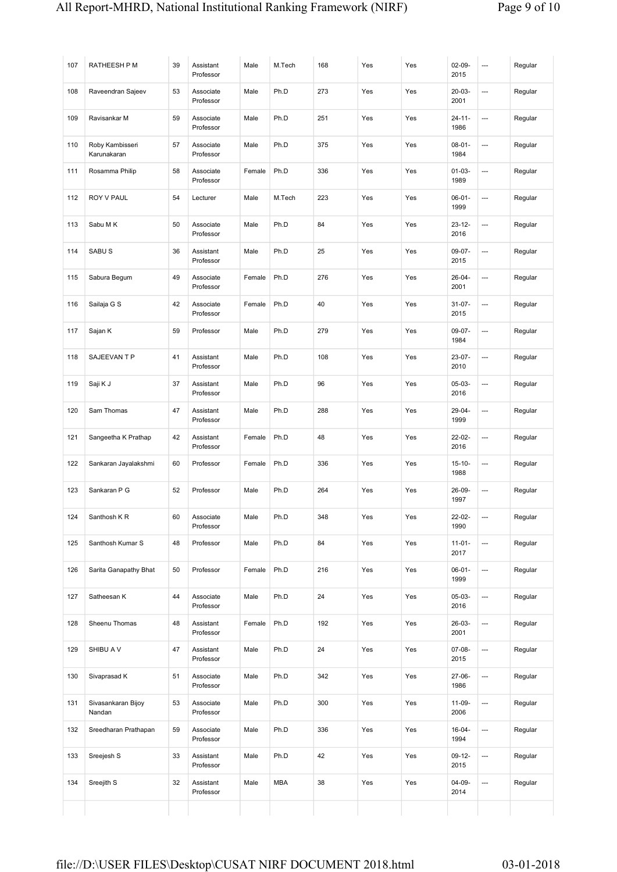| 107 | RATHEESH P M                   | 39 | Assistant<br>Professor | Male   | M.Tech     | 168 | Yes | Yes | $02-09-$<br>2015    | ---                      | Regular |
|-----|--------------------------------|----|------------------------|--------|------------|-----|-----|-----|---------------------|--------------------------|---------|
| 108 | Raveendran Sajeev              | 53 | Associate<br>Professor | Male   | Ph.D       | 273 | Yes | Yes | $20 - 03 -$<br>2001 | ---                      | Regular |
| 109 | Ravisankar M                   | 59 | Associate<br>Professor | Male   | Ph.D       | 251 | Yes | Yes | $24 - 11 -$<br>1986 | ---                      | Regular |
| 110 | Roby Kambisseri<br>Karunakaran | 57 | Associate<br>Professor | Male   | Ph.D       | 375 | Yes | Yes | $08 - 01 -$<br>1984 | ---                      | Regular |
| 111 | Rosamma Philip                 | 58 | Associate<br>Professor | Female | Ph.D       | 336 | Yes | Yes | $01 - 03 -$<br>1989 | ---                      | Regular |
| 112 | ROY V PAUL                     | 54 | Lecturer               | Male   | M.Tech     | 223 | Yes | Yes | $06 - 01 -$<br>1999 | ---                      | Regular |
| 113 | Sabu M K                       | 50 | Associate<br>Professor | Male   | Ph.D       | 84  | Yes | Yes | $23 - 12 -$<br>2016 | $\overline{\phantom{a}}$ | Regular |
| 114 | SABU <sub>S</sub>              | 36 | Assistant<br>Professor | Male   | Ph.D       | 25  | Yes | Yes | 09-07-<br>2015      | ---                      | Regular |
| 115 | Sabura Begum                   | 49 | Associate<br>Professor | Female | Ph.D       | 276 | Yes | Yes | $26 - 04 -$<br>2001 | ---                      | Regular |
| 116 | Sailaja G S                    | 42 | Associate<br>Professor | Female | Ph.D       | 40  | Yes | Yes | $31 - 07 -$<br>2015 | $\cdots$                 | Regular |
| 117 | Sajan K                        | 59 | Professor              | Male   | Ph.D       | 279 | Yes | Yes | $09-07-$<br>1984    | ---                      | Regular |
| 118 | SAJEEVAN T P                   | 41 | Assistant<br>Professor | Male   | Ph.D       | 108 | Yes | Yes | $23-07-$<br>2010    | ---                      | Regular |
| 119 | Saji K J                       | 37 | Assistant<br>Professor | Male   | Ph.D       | 96  | Yes | Yes | $05-03-$<br>2016    | ---                      | Regular |
| 120 | Sam Thomas                     | 47 | Assistant<br>Professor | Male   | Ph.D       | 288 | Yes | Yes | 29-04-<br>1999      | ---                      | Regular |
| 121 | Sangeetha K Prathap            | 42 | Assistant<br>Professor | Female | Ph.D       | 48  | Yes | Yes | $22 - 02 -$<br>2016 | ---                      | Regular |
| 122 | Sankaran Jayalakshmi           | 60 | Professor              | Female | Ph.D       | 336 | Yes | Yes | $15 - 10 -$<br>1988 | ---                      | Regular |
| 123 | Sankaran P G                   | 52 | Professor              | Male   | Ph.D       | 264 | Yes | Yes | 26-09-<br>1997      | $\hspace{0.05cm} \ldots$ | Regular |
| 124 | Santhosh K R                   | 60 | Associate<br>Professor | Male   | Ph.D       | 348 | Yes | Yes | 22-02-<br>1990      |                          | Regular |
| 125 | Santhosh Kumar S               | 48 | Professor              | Male   | Ph.D       | 84  | Yes | Yes | $11-01-$<br>2017    | ---                      | Regular |
| 126 | Sarita Ganapathy Bhat          | 50 | Professor              | Female | Ph.D       | 216 | Yes | Yes | $06 - 01 -$<br>1999 | ---                      | Regular |
| 127 | Satheesan K                    | 44 | Associate<br>Professor | Male   | Ph.D       | 24  | Yes | Yes | 05-03-<br>2016      | ---                      | Regular |
| 128 | Sheenu Thomas                  | 48 | Assistant<br>Professor | Female | Ph.D       | 192 | Yes | Yes | 26-03-<br>2001      | ---                      | Regular |
| 129 | SHIBU A V                      | 47 | Assistant<br>Professor | Male   | Ph.D       | 24  | Yes | Yes | 07-08-<br>2015      | ---                      | Regular |
| 130 | Sivaprasad K                   | 51 | Associate<br>Professor | Male   | Ph.D       | 342 | Yes | Yes | 27-06-<br>1986      | ---                      | Regular |
| 131 | Sivasankaran Bijoy<br>Nandan   | 53 | Associate<br>Professor | Male   | Ph.D       | 300 | Yes | Yes | 11-09-<br>2006      | ---                      | Regular |
| 132 | Sreedharan Prathapan           | 59 | Associate<br>Professor | Male   | Ph.D       | 336 | Yes | Yes | $16 - 04 -$<br>1994 | ---                      | Regular |
| 133 | Sreejesh S                     | 33 | Assistant<br>Professor | Male   | Ph.D       | 42  | Yes | Yes | $09-12-$<br>2015    | ---                      | Regular |
| 134 | Sreejith S                     | 32 | Assistant<br>Professor | Male   | <b>MBA</b> | 38  | Yes | Yes | 04-09-<br>2014      | ---                      | Regular |
|     |                                |    |                        |        |            |     |     |     |                     |                          |         |